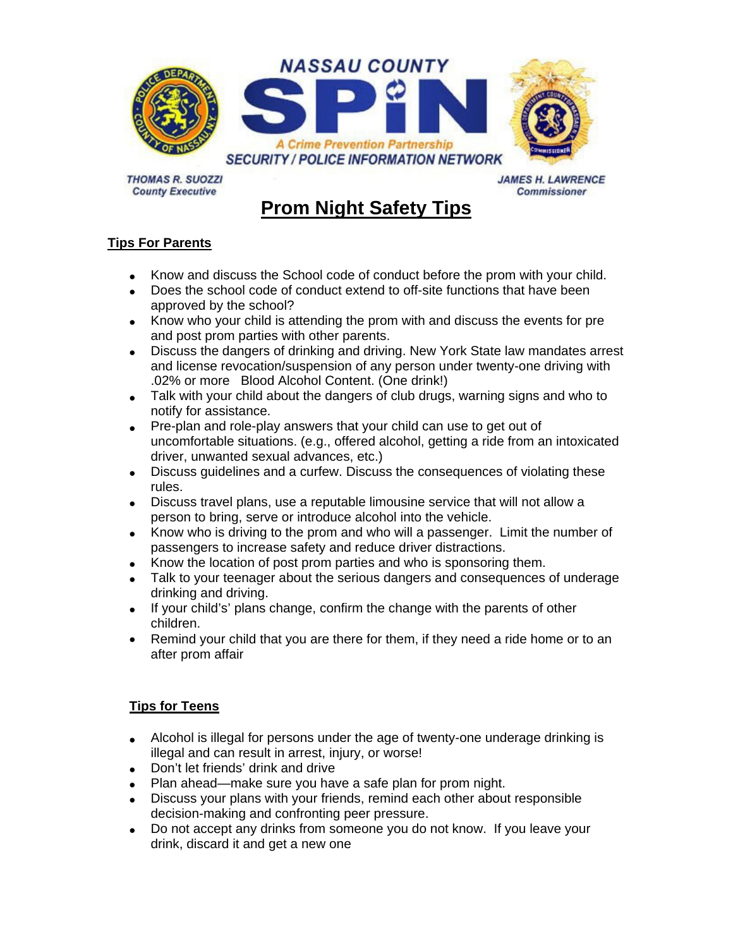

**THOMAS R. SUOZZI County Executive** 

**JAMES H. LAWRENCE Commissioner** 

## **Prom Night Safety Tips**

## **Tips For Parents**

- Know and discuss the School code of conduct before the prom with your child.
- Does the school code of conduct extend to off-site functions that have been approved by the school?
- Know who your child is attending the prom with and discuss the events for pre and post prom parties with other parents.
- Discuss the dangers of drinking and driving. New York State law mandates arrest and license revocation/suspension of any person under twenty-one driving with .02% or more Blood Alcohol Content. (One drink!)
- Talk with your child about the dangers of club drugs, warning signs and who to notify for assistance.
- Pre-plan and role-play answers that your child can use to get out of uncomfortable situations. (e.g., offered alcohol, getting a ride from an intoxicated driver, unwanted sexual advances, etc.)
- Discuss guidelines and a curfew. Discuss the consequences of violating these rules.
- Discuss travel plans, use a reputable limousine service that will not allow a person to bring, serve or introduce alcohol into the vehicle.
- Know who is driving to the prom and who will a passenger. Limit the number of passengers to increase safety and reduce driver distractions.
- Know the location of post prom parties and who is sponsoring them.
- Talk to your teenager about the serious dangers and consequences of underage drinking and driving.
- If your child's' plans change, confirm the change with the parents of other children.
- Remind your child that you are there for them, if they need a ride home or to an after prom affair

## **Tips for Teens**

- Alcohol is illegal for persons under the age of twenty-one underage drinking is illegal and can result in arrest, injury, or worse!
- Don't let friends' drink and drive
- Plan ahead—make sure you have a safe plan for prom night.
- Discuss your plans with your friends, remind each other about responsible decision-making and confronting peer pressure.
- Do not accept any drinks from someone you do not know. If you leave your drink, discard it and get a new one